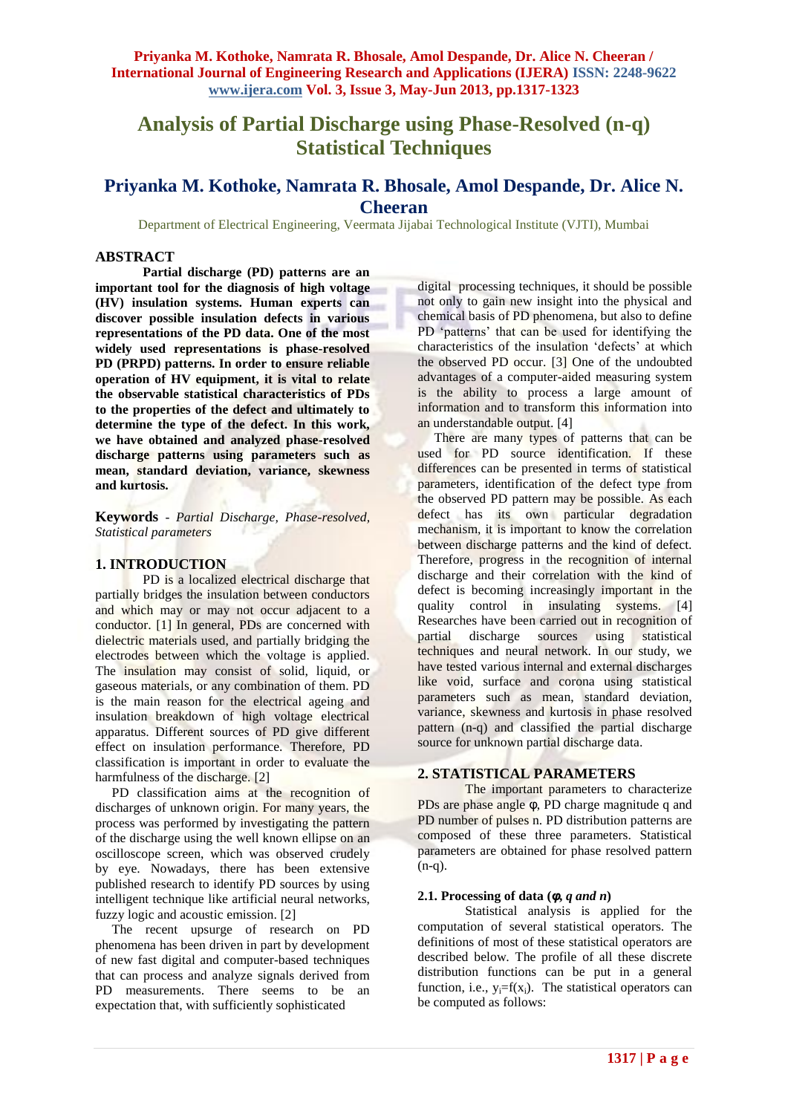# **Analysis of Partial Discharge using Phase-Resolved (n-q) Statistical Techniques**

# **Priyanka M. Kothoke, Namrata R. Bhosale, Amol Despande, Dr. Alice N. Cheeran**

Department of Electrical Engineering, Veermata Jijabai Technological Institute (VJTI), Mumbai

# **ABSTRACT**

**Partial discharge (PD) patterns are an important tool for the diagnosis of high voltage (HV) insulation systems. Human experts can discover possible insulation defects in various representations of the PD data. One of the most widely used representations is phase-resolved PD (PRPD) patterns. In order to ensure reliable operation of HV equipment, it is vital to relate the observable statistical characteristics of PDs to the properties of the defect and ultimately to determine the type of the defect. In this work, we have obtained and analyzed phase-resolved discharge patterns using parameters such as mean, standard deviation, variance, skewness and kurtosis.**

**Keywords** - *Partial Discharge, Phase-resolved, Statistical parameters*

#### **1. INTRODUCTION**

PD is a localized electrical discharge that partially bridges the insulation between conductors and which may or may not occur adjacent to a conductor. [1] In general, PDs are concerned with dielectric materials used, and partially bridging the electrodes between which the voltage is applied. The insulation may consist of solid, liquid, or gaseous materials, or any combination of them. PD is the main reason for the electrical ageing and insulation breakdown of high voltage electrical apparatus. Different sources of PD give different effect on insulation performance. Therefore, PD classification is important in order to evaluate the harmfulness of the discharge. [2]

 PD classification aims at the recognition of discharges of unknown origin. For many years, the process was performed by investigating the pattern of the discharge using the well known ellipse on an oscilloscope screen, which was observed crudely by eye. Nowadays, there has been extensive published research to identify PD sources by using intelligent technique like artificial neural networks, fuzzy logic and acoustic emission. [2]

 The recent upsurge of research on PD phenomena has been driven in part by development of new fast digital and computer-based techniques that can process and analyze signals derived from PD measurements. There seems to be an expectation that, with sufficiently sophisticated

digital processing techniques, it should be possible not only to gain new insight into the physical and chemical basis of PD phenomena, but also to define PD 'patterns' that can be used for identifying the characteristics of the insulation 'defects' at which the observed PD occur. [3] One of the undoubted advantages of a computer-aided measuring system is the ability to process a large amount of information and to transform this information into an understandable output. [4]

There are many types of patterns that can be used for PD source identification. If these differences can be presented in terms of statistical parameters, identification of the defect type from the observed PD pattern may be possible. As each defect has its own particular degradation mechanism, it is important to know the correlation between discharge patterns and the kind of defect. Therefore, progress in the recognition of internal discharge and their correlation with the kind of defect is becoming increasingly important in the quality control in insulating systems. [4] Researches have been carried out in recognition of partial discharge sources using statistical techniques and neural network. In our study, we have tested various internal and external discharges like void, surface and corona using statistical parameters such as mean, standard deviation, variance, skewness and kurtosis in phase resolved pattern (n-q) and classified the partial discharge source for unknown partial discharge data.

#### **2. STATISTICAL PARAMETERS**

The important parameters to characterize PDs are phase angle φ, PD charge magnitude q and PD number of pulses n. PD distribution patterns are composed of these three parameters. Statistical parameters are obtained for phase resolved pattern  $(n-q)$ .

#### **2.1. Processing of data (** $\phi$ **,** *q and n***)**

Statistical analysis is applied for the computation of several statistical operators. The definitions of most of these statistical operators are described below. The profile of all these discrete distribution functions can be put in a general function, i.e.,  $y_i = f(x_i)$ . The statistical operators can be computed as follows: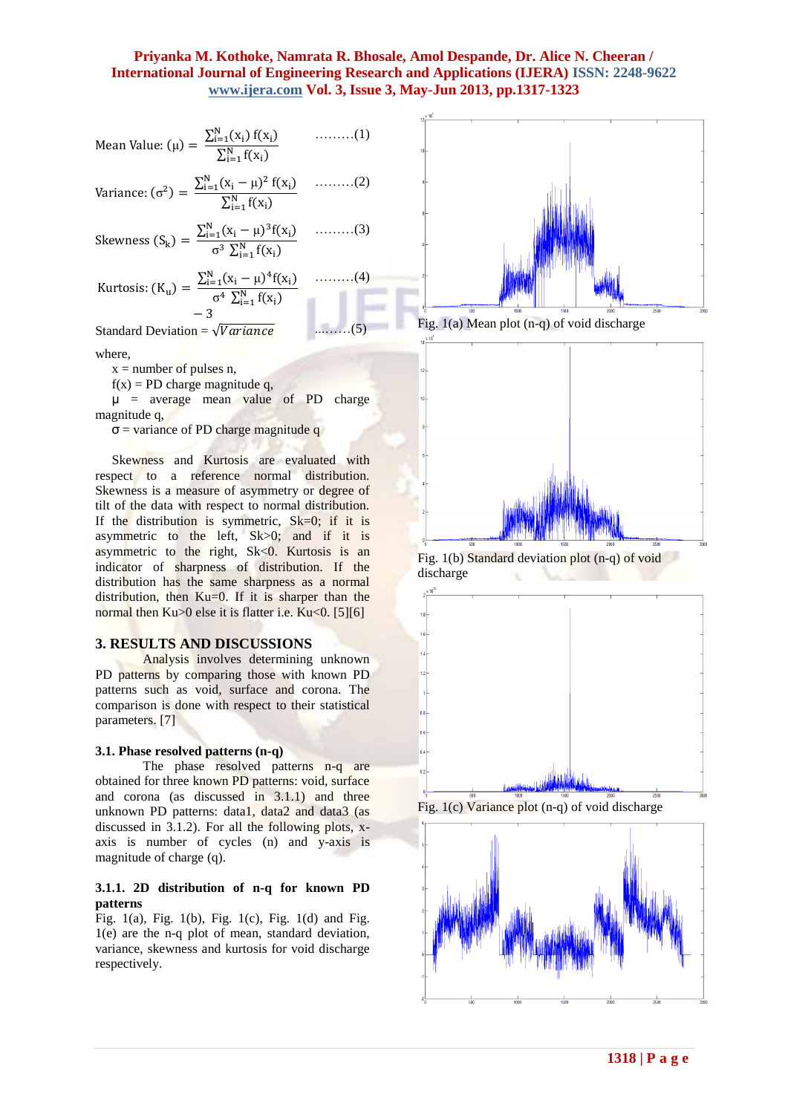Mean Value: 
$$
(\mu) = \frac{\sum_{i=1}^{N} (x_i) f(x_i)}{\sum_{i=1}^{N} f(x_i)}
$$
 (1)

Variance: 
$$
(\sigma^2)
$$
 =  $\frac{\sum_{i=1}^{N} (x_i - \mu)^2 f(x_i)}{\sum_{i=1}^{N} f(x_i)}$  .........(2)

Skewness (S<sub>k</sub>) = 
$$
\frac{\sum_{i=1}^{N} (x_i - \mu)^3 f(x_i)}{\sigma^3 \sum_{i=1}^{N} f(x_i)}
$$
........(3)

Kurtosis: 
$$
(K_u) = \frac{\sum_{i=1}^{N} (x_i - \mu)^4 f(x_i)}{\sigma^4 \sum_{i=1}^{N} f(x_i)}
$$
 .........(4)  
- 3

Standard Deviation = ...……(5)

where,

 $x =$  number of pulses n,

 $f(x) = PD$  charge magnitude q,

 $\mu$  = average mean value of PD charge magnitude q,

 $\sigma$  = variance of PD charge magnitude q

 Skewness and Kurtosis are evaluated with respect to a reference normal distribution. Skewness is a measure of asymmetry or degree of tilt of the data with respect to normal distribution. If the distribution is symmetric,  $Sk=0$ ; if it is asymmetric to the left, Sk>0; and if it is asymmetric to the right, Sk<0. Kurtosis is an indicator of sharpness of distribution. If the distribution has the same sharpness as a normal distribution, then Ku=0. If it is sharper than the normal then  $Ku>0$  else it is flatter i.e.  $Ku<0$ . [5][6]

#### **3. RESULTS AND DISCUSSIONS**

Analysis involves determining unknown PD patterns by comparing those with known PD patterns such as void, surface and corona. The comparison is done with respect to their statistical parameters. [7]

#### **3.1. Phase resolved patterns (n-q)**

The phase resolved patterns n-q are obtained for three known PD patterns: void, surface and corona (as discussed in 3.1.1) and three unknown PD patterns: data1, data2 and data3 (as discussed in 3.1.2). For all the following plots, xaxis is number of cycles (n) and y-axis is magnitude of charge (q).

#### **3.1.1. 2D distribution of n-q for known PD patterns**

Fig. 1(a), Fig. 1(b), Fig. 1(c), Fig. 1(d) and Fig. 1(e) are the n-q plot of mean, standard deviation, variance, skewness and kurtosis for void discharge respectively.



Fig. 1(a) Mean plot (n-q) of void discharge



Fig. 1(b) Standard deviation plot (n-q) of void discharge





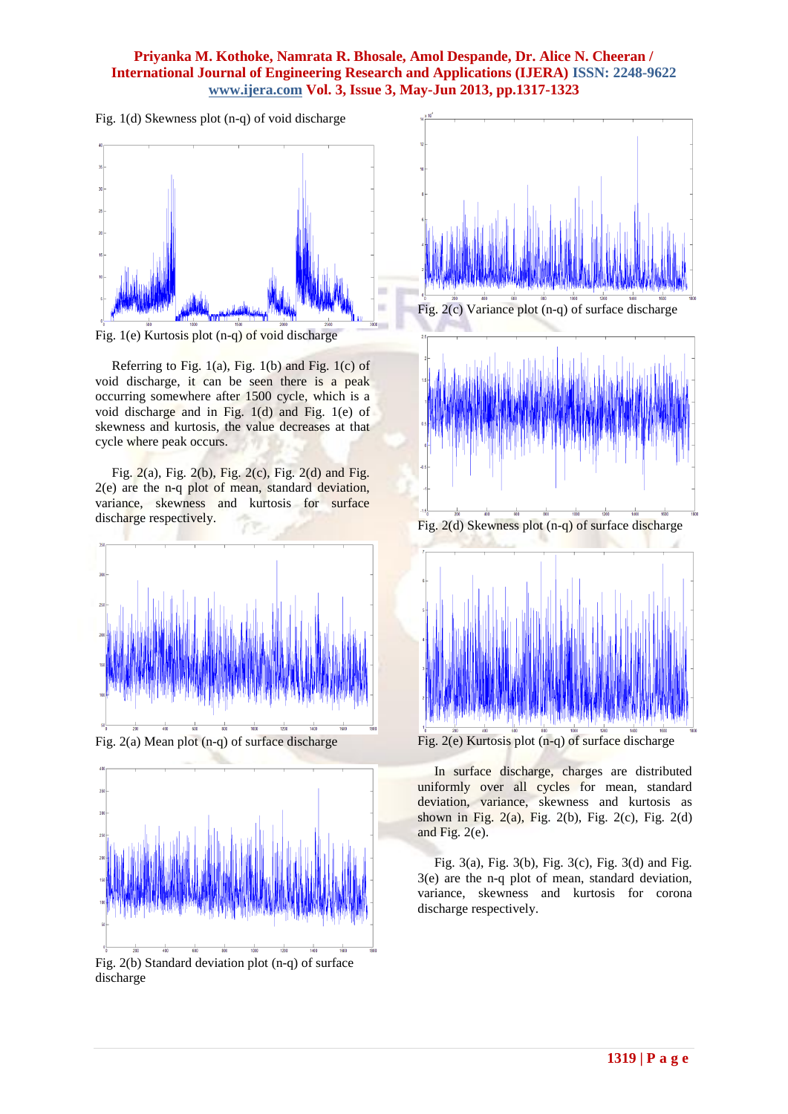Fig. 1(d) Skewness plot (n-q) of void discharge



Fig. 1(e) Kurtosis plot (n-q) of void discharge

Referring to Fig.  $1(a)$ , Fig.  $1(b)$  and Fig.  $1(c)$  of void discharge, it can be seen there is a peak occurring somewhere after 1500 cycle, which is a void discharge and in Fig. 1(d) and Fig. 1(e) of skewness and kurtosis, the value decreases at that cycle where peak occurs.

 Fig. 2(a), Fig. 2(b), Fig. 2(c), Fig. 2(d) and Fig. 2(e) are the n-q plot of mean, standard deviation, variance, skewness and kurtosis for surface discharge respectively.





Fig. 2(b) Standard deviation plot (n-q) of surface discharge





Fig. 2(d) Skewness plot (n-q) of surface discharge



 In surface discharge, charges are distributed uniformly over all cycles for mean, standard deviation, variance, skewness and kurtosis as shown in Fig. 2(a), Fig. 2(b), Fig. 2(c), Fig. 2(d) and Fig. 2(e).

 Fig. 3(a), Fig. 3(b), Fig. 3(c), Fig. 3(d) and Fig. 3(e) are the n-q plot of mean, standard deviation, variance, skewness and kurtosis for corona discharge respectively.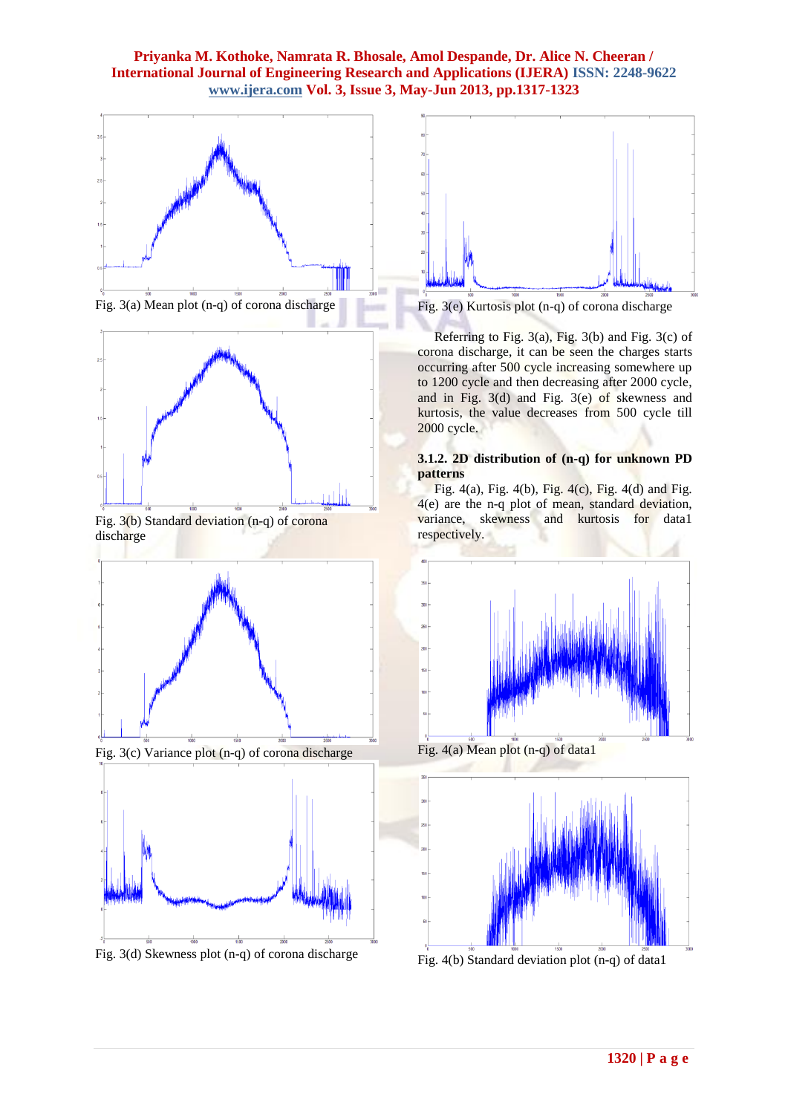



Fig. 3(b) Standard deviation (n-q) of corona discharge



Fig. 3(c) Variance plot (n-q) of corona discharge



Fig. 3(d) Skewness plot (n-q) of corona discharge



Fig. 3(e) Kurtosis plot (n-q) of corona discharge

Referring to Fig.  $3(a)$ , Fig.  $3(b)$  and Fig.  $3(c)$  of corona discharge, it can be seen the charges starts occurring after 500 cycle increasing somewhere up to 1200 cycle and then decreasing after 2000 cycle, and in Fig. 3(d) and Fig. 3(e) of skewness and kurtosis, the value decreases from 500 cycle till 2000 cycle.

#### **3.1.2. 2D distribution of (n-q) for unknown PD patterns**

Fig. 4(a), Fig. 4(b), Fig. 4(c), Fig. 4(d) and Fig. 4(e) are the n-q plot of mean, standard deviation, variance, skewness and kurtosis for data1 respectively.



Fig. 4(a) Mean plot (n-q) of data1



Fig. 4(b) Standard deviation plot (n-q) of data1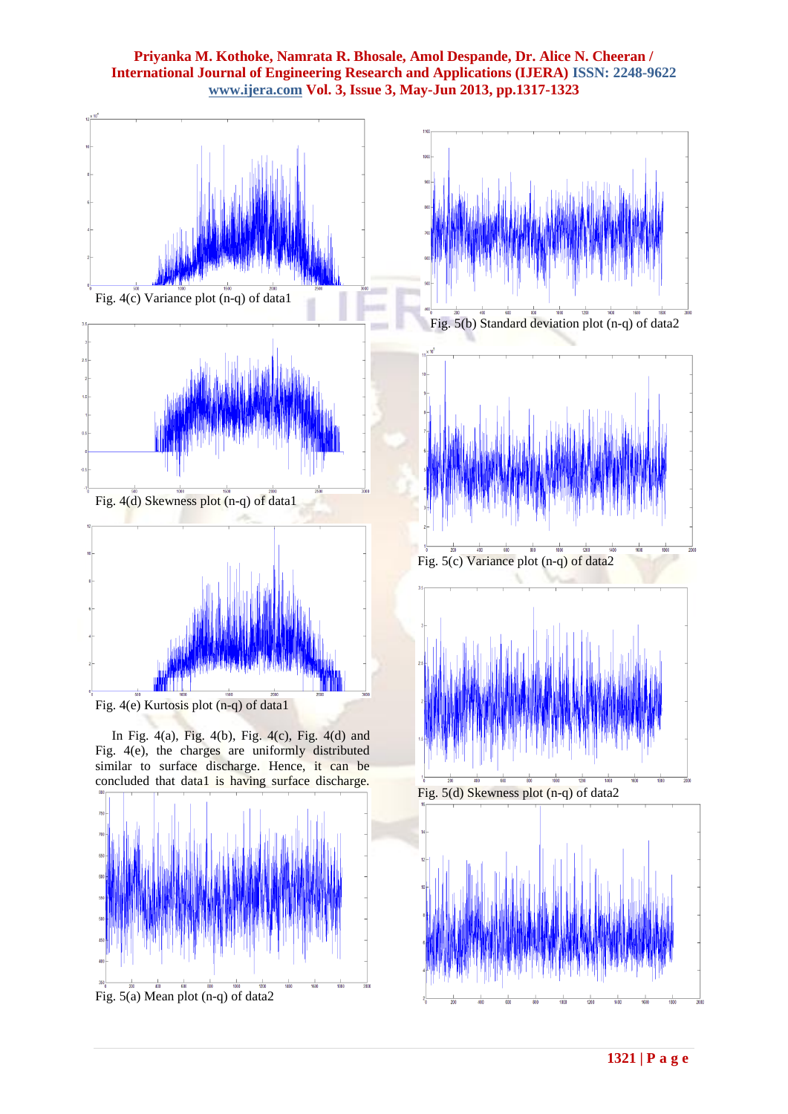



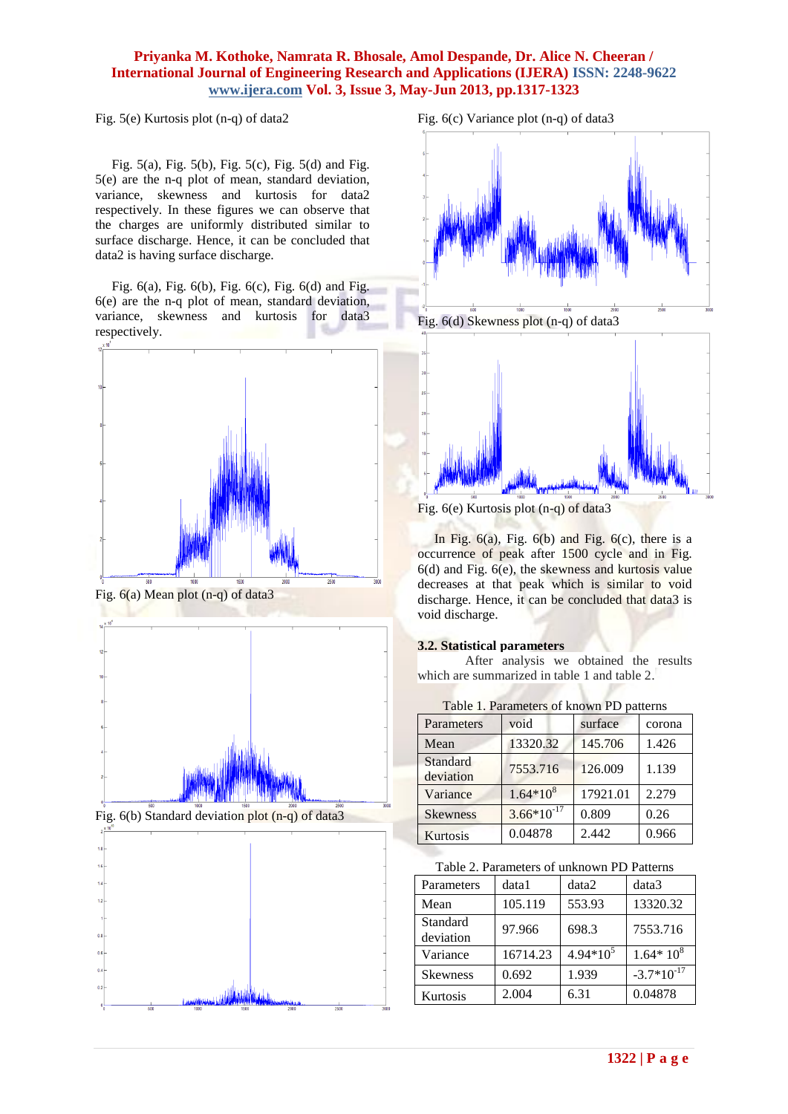Fig. 5(e) Kurtosis plot (n-q) of data2

 Fig. 5(a), Fig. 5(b), Fig. 5(c), Fig. 5(d) and Fig. 5(e) are the n-q plot of mean, standard deviation, variance, skewness and kurtosis for data2 respectively. In these figures we can observe that the charges are uniformly distributed similar to surface discharge. Hence, it can be concluded that data2 is having surface discharge.

 Fig. 6(a), Fig. 6(b), Fig. 6(c), Fig. 6(d) and Fig. 6(e) are the n-q plot of mean, standard deviation, variance, skewness and kurtosis for data3 respectively.













Fig. 6(e) Kurtosis plot (n-q) of data3

In Fig.  $6(a)$ , Fig.  $6(b)$  and Fig.  $6(c)$ , there is a occurrence of peak after 1500 cycle and in Fig. 6(d) and Fig. 6(e), the skewness and kurtosis value decreases at that peak which is similar to void discharge. Hence, it can be concluded that data3 is void discharge.

# **3.2. Statistical parameters**

After analysis we obtained the results which are summarized in table 1 and table 2.

| Parameters            | void            | surface  | corona |
|-----------------------|-----------------|----------|--------|
| Mean                  | 13320.32        | 145.706  | 1.426  |
| Standard<br>deviation | 7553.716        | 126.009  | 1.139  |
| Variance              | $1.64*10^{8}$   | 17921.01 | 2.279  |
| <b>Skewness</b>       | $3.66*10^{-17}$ | 0.809    | 0.26   |
| <b>Kurtosis</b>       | 0.04878         | 2.442    | 0.966  |

| Table 2. Parameters of unknown PD Patterns |  |  |
|--------------------------------------------|--|--|
|                                            |  |  |

| Parameters            | data1    | data2       | data3           |
|-----------------------|----------|-------------|-----------------|
| Mean                  | 105.119  | 553.93      | 13320.32        |
| Standard<br>deviation | 97.966   | 698.3       | 7553.716        |
| Variance              | 16714.23 | $4.94*10^5$ | $1.64*10^{8}$   |
| <b>Skewness</b>       | 0.692    | 1.939       | $-3.7*10^{-17}$ |
| Kurtosis              | 2.004    | 6.31        | 0.04878         |